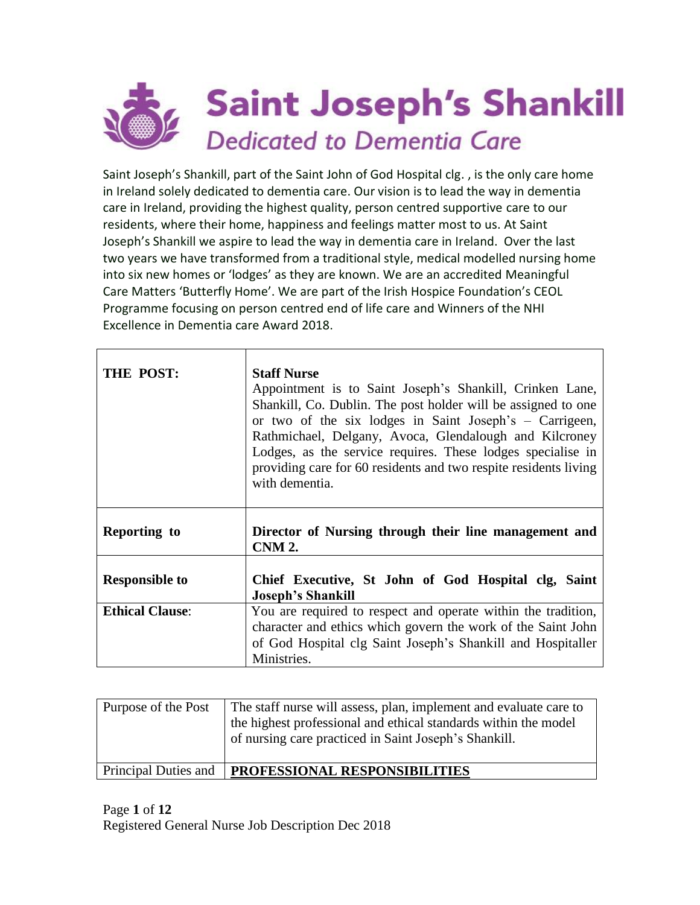

Saint Joseph's Shankill, part of the Saint John of God Hospital clg. , is the only care home in Ireland solely dedicated to dementia care. Our vision is to lead the way in dementia care in Ireland, providing the highest quality, person centred supportive care to our residents, where their home, happiness and feelings matter most to us. At Saint Joseph's Shankill we aspire to lead the way in dementia care in Ireland. Over the last two years we have transformed from a traditional style, medical modelled nursing home into six new homes or 'lodges' as they are known. We are an accredited Meaningful Care Matters 'Butterfly Home'. We are part of the Irish Hospice Foundation's CEOL Programme focusing on person centred end of life care and Winners of the NHI Excellence in Dementia care Award 2018.

| THE POST:              | <b>Staff Nurse</b><br>Appointment is to Saint Joseph's Shankill, Crinken Lane,<br>Shankill, Co. Dublin. The post holder will be assigned to one<br>or two of the six lodges in Saint Joseph's – Carrigeen,<br>Rathmichael, Delgany, Avoca, Glendalough and Kilcroney<br>Lodges, as the service requires. These lodges specialise in<br>providing care for 60 residents and two respite residents living<br>with dementia. |  |
|------------------------|---------------------------------------------------------------------------------------------------------------------------------------------------------------------------------------------------------------------------------------------------------------------------------------------------------------------------------------------------------------------------------------------------------------------------|--|
| Reporting to           | Director of Nursing through their line management and<br><b>CNM 2.</b>                                                                                                                                                                                                                                                                                                                                                    |  |
| <b>Responsible to</b>  | Chief Executive, St John of God Hospital clg, Saint<br><b>Joseph's Shankill</b>                                                                                                                                                                                                                                                                                                                                           |  |
| <b>Ethical Clause:</b> | You are required to respect and operate within the tradition,<br>character and ethics which govern the work of the Saint John<br>of God Hospital clg Saint Joseph's Shankill and Hospitaller<br>Ministries.                                                                                                                                                                                                               |  |

| Purpose of the Post  | The staff nurse will assess, plan, implement and evaluate care to<br>the highest professional and ethical standards within the model<br>of nursing care practiced in Saint Joseph's Shankill. |
|----------------------|-----------------------------------------------------------------------------------------------------------------------------------------------------------------------------------------------|
| Principal Duties and | <b>PROFESSIONAL RESPONSIBILITIES</b>                                                                                                                                                          |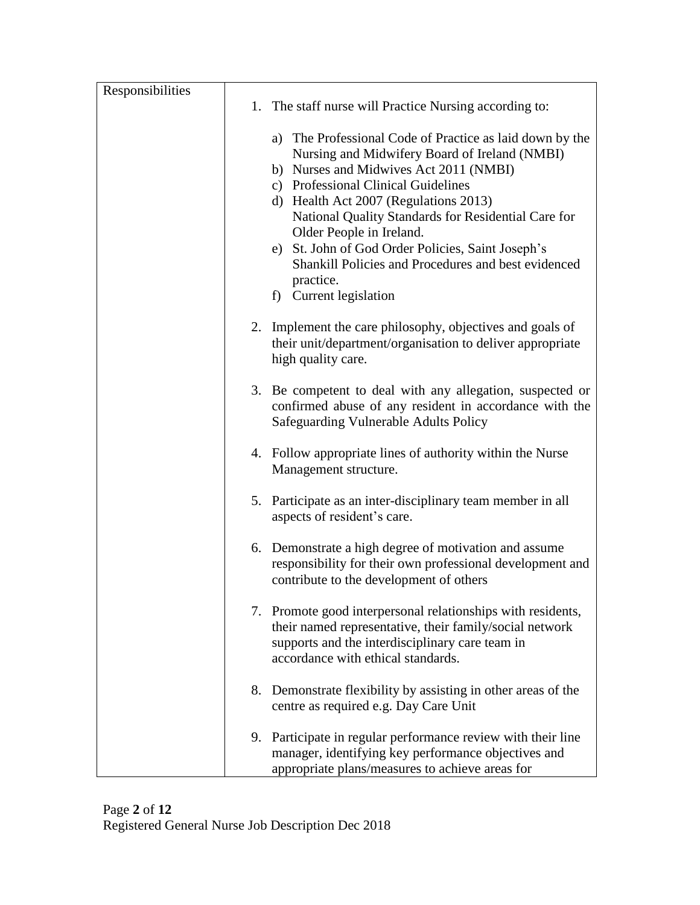| Responsibilities |                                                                                                                                                                                                                                                                                                                                                                                                                                                                           |
|------------------|---------------------------------------------------------------------------------------------------------------------------------------------------------------------------------------------------------------------------------------------------------------------------------------------------------------------------------------------------------------------------------------------------------------------------------------------------------------------------|
|                  | 1. The staff nurse will Practice Nursing according to:                                                                                                                                                                                                                                                                                                                                                                                                                    |
|                  | a) The Professional Code of Practice as laid down by the<br>Nursing and Midwifery Board of Ireland (NMBI)<br>b) Nurses and Midwives Act 2011 (NMBI)<br>c) Professional Clinical Guidelines<br>d) Health Act 2007 (Regulations 2013)<br>National Quality Standards for Residential Care for<br>Older People in Ireland.<br>e) St. John of God Order Policies, Saint Joseph's<br>Shankill Policies and Procedures and best evidenced<br>practice.<br>f) Current legislation |
|                  | 2. Implement the care philosophy, objectives and goals of<br>their unit/department/organisation to deliver appropriate<br>high quality care.                                                                                                                                                                                                                                                                                                                              |
|                  | 3. Be competent to deal with any allegation, suspected or<br>confirmed abuse of any resident in accordance with the<br><b>Safeguarding Vulnerable Adults Policy</b>                                                                                                                                                                                                                                                                                                       |
|                  | 4. Follow appropriate lines of authority within the Nurse<br>Management structure.                                                                                                                                                                                                                                                                                                                                                                                        |
|                  | 5. Participate as an inter-disciplinary team member in all<br>aspects of resident's care.                                                                                                                                                                                                                                                                                                                                                                                 |
|                  | 6. Demonstrate a high degree of motivation and assume<br>responsibility for their own professional development and<br>contribute to the development of others                                                                                                                                                                                                                                                                                                             |
|                  | 7. Promote good interpersonal relationships with residents,<br>their named representative, their family/social network<br>supports and the interdisciplinary care team in<br>accordance with ethical standards.                                                                                                                                                                                                                                                           |
|                  | 8. Demonstrate flexibility by assisting in other areas of the<br>centre as required e.g. Day Care Unit                                                                                                                                                                                                                                                                                                                                                                    |
|                  | 9. Participate in regular performance review with their line<br>manager, identifying key performance objectives and<br>appropriate plans/measures to achieve areas for                                                                                                                                                                                                                                                                                                    |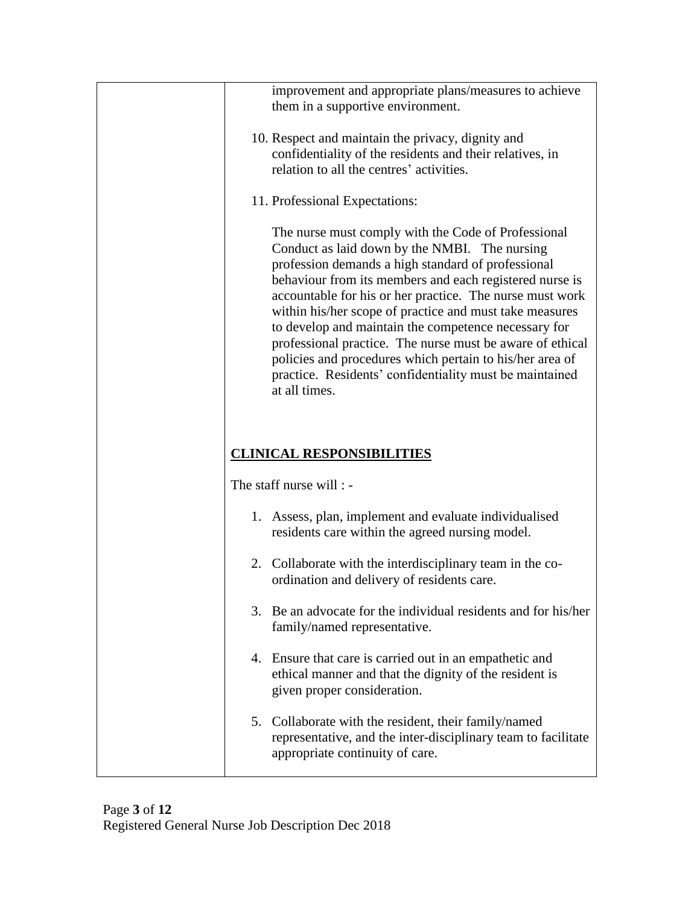| improvement and appropriate plans/measures to achieve<br>them in a supportive environment.                                                                                                                                                                                                                                                                                                                                                                                                                                                                                                                |
|-----------------------------------------------------------------------------------------------------------------------------------------------------------------------------------------------------------------------------------------------------------------------------------------------------------------------------------------------------------------------------------------------------------------------------------------------------------------------------------------------------------------------------------------------------------------------------------------------------------|
| 10. Respect and maintain the privacy, dignity and<br>confidentiality of the residents and their relatives, in<br>relation to all the centres' activities.                                                                                                                                                                                                                                                                                                                                                                                                                                                 |
| 11. Professional Expectations:                                                                                                                                                                                                                                                                                                                                                                                                                                                                                                                                                                            |
| The nurse must comply with the Code of Professional<br>Conduct as laid down by the NMBI. The nursing<br>profession demands a high standard of professional<br>behaviour from its members and each registered nurse is<br>accountable for his or her practice. The nurse must work<br>within his/her scope of practice and must take measures<br>to develop and maintain the competence necessary for<br>professional practice. The nurse must be aware of ethical<br>policies and procedures which pertain to his/her area of<br>practice. Residents' confidentiality must be maintained<br>at all times. |
| <b>CLINICAL RESPONSIBILITIES</b>                                                                                                                                                                                                                                                                                                                                                                                                                                                                                                                                                                          |
| The staff nurse will : -                                                                                                                                                                                                                                                                                                                                                                                                                                                                                                                                                                                  |
| 1. Assess, plan, implement and evaluate individualised<br>residents care within the agreed nursing model.                                                                                                                                                                                                                                                                                                                                                                                                                                                                                                 |
|                                                                                                                                                                                                                                                                                                                                                                                                                                                                                                                                                                                                           |
| 2. Collaborate with the interdisciplinary team in the co-<br>ordination and delivery of residents care.                                                                                                                                                                                                                                                                                                                                                                                                                                                                                                   |
| 3. Be an advocate for the individual residents and for his/her<br>family/named representative.                                                                                                                                                                                                                                                                                                                                                                                                                                                                                                            |
| 4. Ensure that care is carried out in an empathetic and<br>ethical manner and that the dignity of the resident is<br>given proper consideration.                                                                                                                                                                                                                                                                                                                                                                                                                                                          |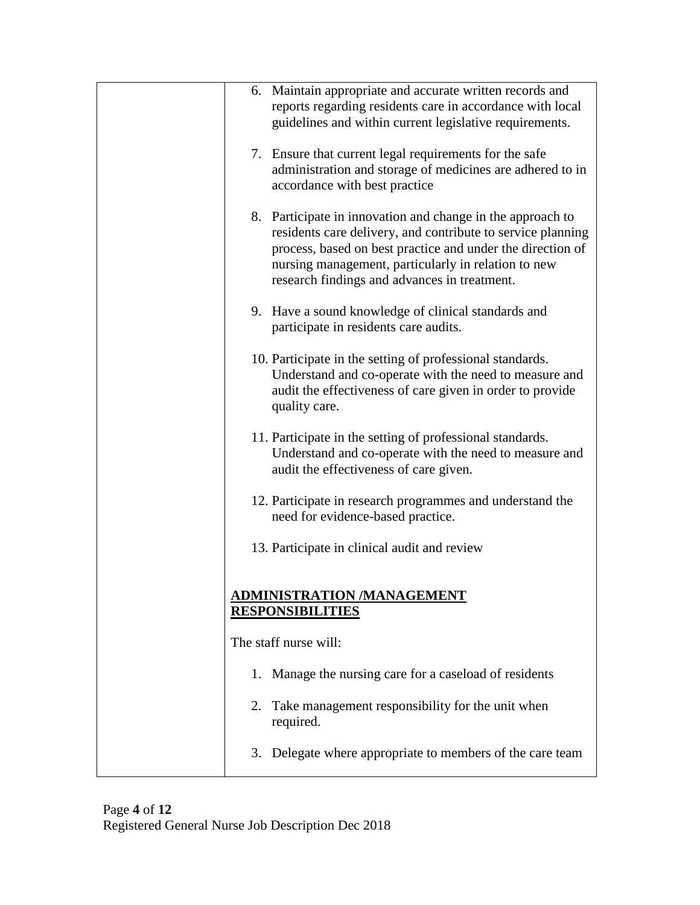| 6. Maintain appropriate and accurate written records and<br>reports regarding residents care in accordance with local<br>guidelines and within current legislative requirements.                                                                                                               |
|------------------------------------------------------------------------------------------------------------------------------------------------------------------------------------------------------------------------------------------------------------------------------------------------|
| 7. Ensure that current legal requirements for the safe<br>administration and storage of medicines are adhered to in<br>accordance with best practice                                                                                                                                           |
| 8. Participate in innovation and change in the approach to<br>residents care delivery, and contribute to service planning<br>process, based on best practice and under the direction of<br>nursing management, particularly in relation to new<br>research findings and advances in treatment. |
| 9. Have a sound knowledge of clinical standards and<br>participate in residents care audits.                                                                                                                                                                                                   |
| 10. Participate in the setting of professional standards.<br>Understand and co-operate with the need to measure and<br>audit the effectiveness of care given in order to provide<br>quality care.                                                                                              |
| 11. Participate in the setting of professional standards.<br>Understand and co-operate with the need to measure and<br>audit the effectiveness of care given.                                                                                                                                  |
| 12. Participate in research programmes and understand the<br>need for evidence-based practice.                                                                                                                                                                                                 |
| 13. Participate in clinical audit and review                                                                                                                                                                                                                                                   |
| <u>ADMINISTRATION /MANAGEMENT</u><br><b>RESPONSIBILITIES</b>                                                                                                                                                                                                                                   |
| The staff nurse will:                                                                                                                                                                                                                                                                          |
| Manage the nursing care for a caseload of residents<br>1.                                                                                                                                                                                                                                      |
| Take management responsibility for the unit when<br>2.<br>required.                                                                                                                                                                                                                            |
| Delegate where appropriate to members of the care team<br>3.                                                                                                                                                                                                                                   |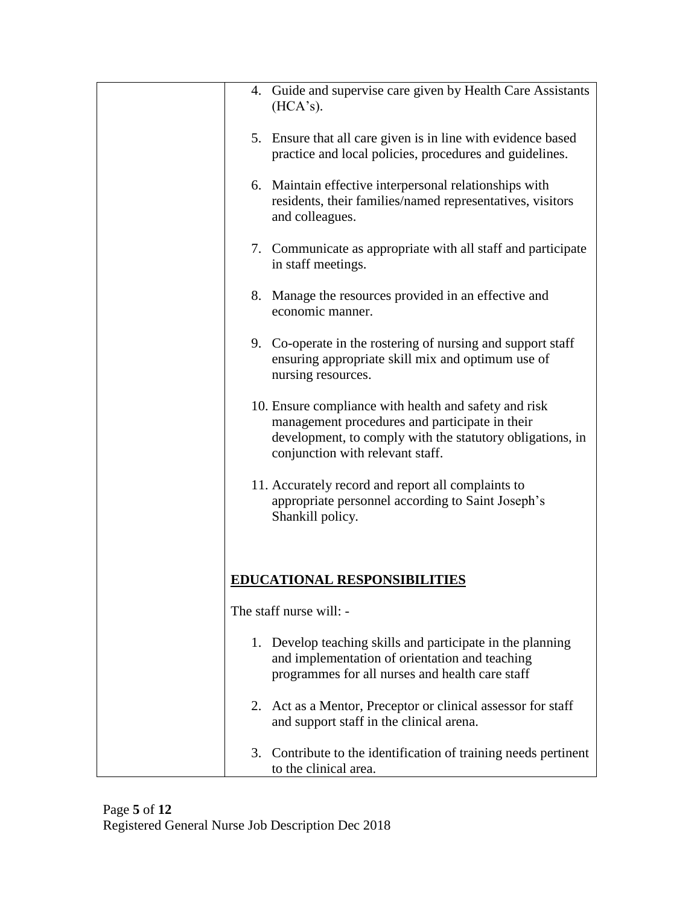|    | 4. Guide and supervise care given by Health Care Assistants<br>(HCA's).                                                                                                                                  |
|----|----------------------------------------------------------------------------------------------------------------------------------------------------------------------------------------------------------|
|    | 5. Ensure that all care given is in line with evidence based<br>practice and local policies, procedures and guidelines.                                                                                  |
|    | 6. Maintain effective interpersonal relationships with<br>residents, their families/named representatives, visitors<br>and colleagues.                                                                   |
|    | 7. Communicate as appropriate with all staff and participate<br>in staff meetings.                                                                                                                       |
|    | 8. Manage the resources provided in an effective and<br>economic manner.                                                                                                                                 |
|    | 9. Co-operate in the rostering of nursing and support staff<br>ensuring appropriate skill mix and optimum use of<br>nursing resources.                                                                   |
|    | 10. Ensure compliance with health and safety and risk<br>management procedures and participate in their<br>development, to comply with the statutory obligations, in<br>conjunction with relevant staff. |
|    | 11. Accurately record and report all complaints to<br>appropriate personnel according to Saint Joseph's<br>Shankill policy.                                                                              |
|    |                                                                                                                                                                                                          |
|    | <b>EDUCATIONAL RESPONSIBILITIES</b>                                                                                                                                                                      |
|    | The staff nurse will: -                                                                                                                                                                                  |
|    | 1. Develop teaching skills and participate in the planning<br>and implementation of orientation and teaching<br>programmes for all nurses and health care staff                                          |
|    | 2. Act as a Mentor, Preceptor or clinical assessor for staff<br>and support staff in the clinical arena.                                                                                                 |
| 3. | Contribute to the identification of training needs pertinent<br>to the clinical area.                                                                                                                    |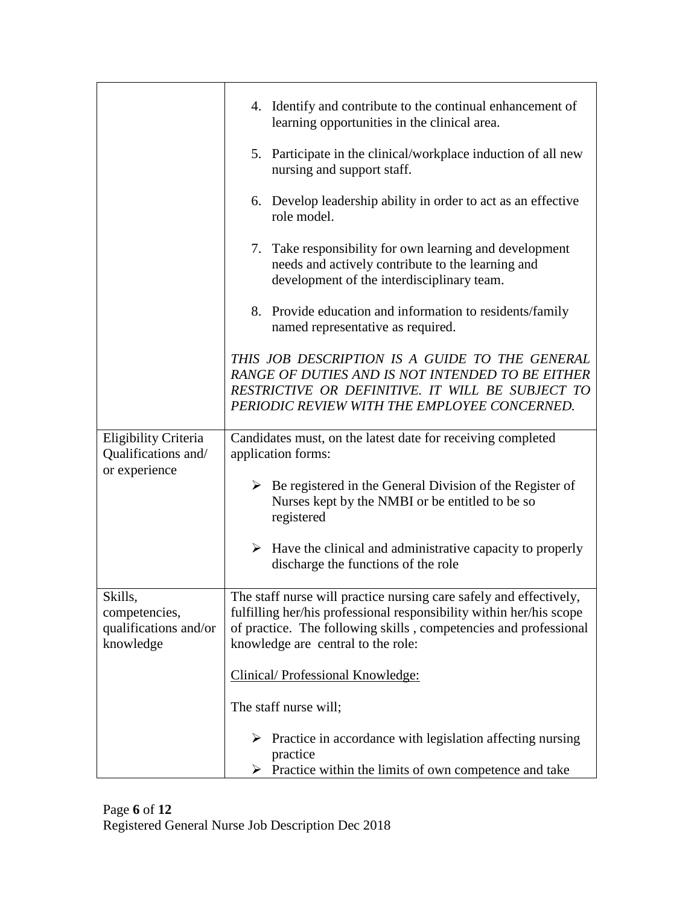|                                                                | 4. Identify and contribute to the continual enhancement of<br>learning opportunities in the clinical area.                                                                                                                                          |
|----------------------------------------------------------------|-----------------------------------------------------------------------------------------------------------------------------------------------------------------------------------------------------------------------------------------------------|
|                                                                | 5. Participate in the clinical/workplace induction of all new<br>nursing and support staff.                                                                                                                                                         |
|                                                                | 6. Develop leadership ability in order to act as an effective<br>role model.                                                                                                                                                                        |
|                                                                | 7. Take responsibility for own learning and development<br>needs and actively contribute to the learning and<br>development of the interdisciplinary team.                                                                                          |
|                                                                | 8. Provide education and information to residents/family<br>named representative as required.                                                                                                                                                       |
|                                                                | THIS JOB DESCRIPTION IS A GUIDE TO THE GENERAL<br>RANGE OF DUTIES AND IS NOT INTENDED TO BE EITHER<br>RESTRICTIVE OR DEFINITIVE. IT WILL BE SUBJECT TO<br>PERIODIC REVIEW WITH THE EMPLOYEE CONCERNED.                                              |
| Eligibility Criteria<br>Qualifications and/                    | Candidates must, on the latest date for receiving completed<br>application forms:                                                                                                                                                                   |
| or experience                                                  | $\triangleright$ Be registered in the General Division of the Register of<br>Nurses kept by the NMBI or be entitled to be so<br>registered                                                                                                          |
|                                                                | $\triangleright$ Have the clinical and administrative capacity to properly<br>discharge the functions of the role                                                                                                                                   |
| Skills,<br>competencies,<br>qualifications and/or<br>knowledge | The staff nurse will practice nursing care safely and effectively,<br>fulfilling her/his professional responsibility within her/his scope<br>of practice. The following skills, competencies and professional<br>knowledge are central to the role: |
|                                                                | Clinical/ Professional Knowledge:                                                                                                                                                                                                                   |
|                                                                | The staff nurse will;                                                                                                                                                                                                                               |
|                                                                | $\triangleright$ Practice in accordance with legislation affecting nursing<br>practice<br>$\triangleright$ Practice within the limits of own competence and take                                                                                    |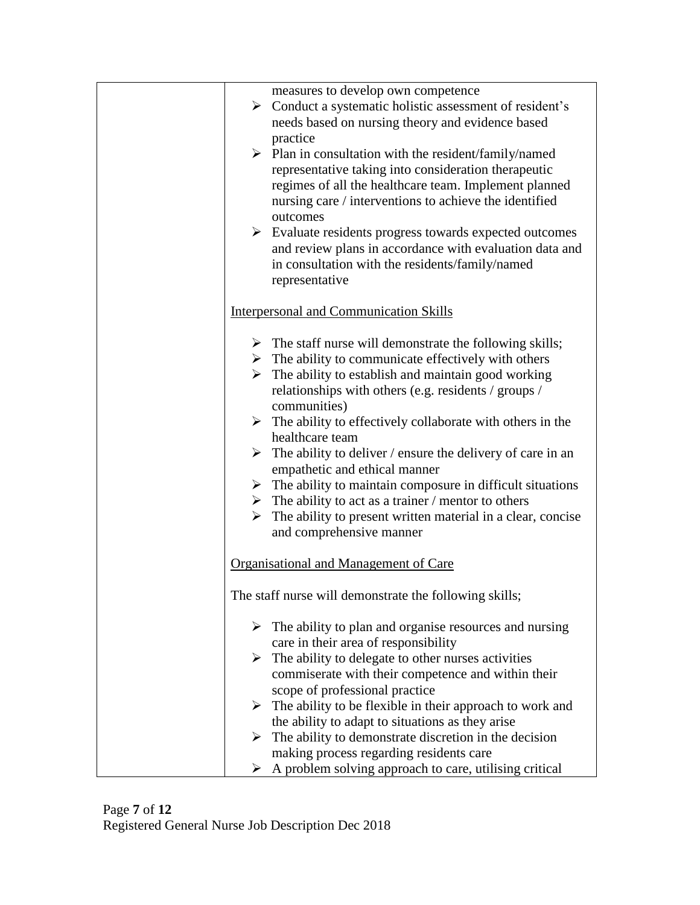|     | measures to develop own competence<br>$\triangleright$ Conduct a systematic holistic assessment of resident's<br>needs based on nursing theory and evidence based<br>practice<br>$\triangleright$ Plan in consultation with the resident/family/named<br>representative taking into consideration therapeutic<br>regimes of all the healthcare team. Implement planned<br>nursing care / interventions to achieve the identified<br>outcomes<br>$\triangleright$ Evaluate residents progress towards expected outcomes<br>and review plans in accordance with evaluation data and<br>in consultation with the residents/family/named<br>representative                                                                                                                          |
|-----|---------------------------------------------------------------------------------------------------------------------------------------------------------------------------------------------------------------------------------------------------------------------------------------------------------------------------------------------------------------------------------------------------------------------------------------------------------------------------------------------------------------------------------------------------------------------------------------------------------------------------------------------------------------------------------------------------------------------------------------------------------------------------------|
|     | <b>Interpersonal and Communication Skills</b>                                                                                                                                                                                                                                                                                                                                                                                                                                                                                                                                                                                                                                                                                                                                   |
|     | $\triangleright$ The staff nurse will demonstrate the following skills;<br>$\triangleright$ The ability to communicate effectively with others<br>$\triangleright$ The ability to establish and maintain good working<br>relationships with others (e.g. residents / groups /<br>communities)<br>$\triangleright$ The ability to effectively collaborate with others in the<br>healthcare team<br>$\triangleright$ The ability to deliver / ensure the delivery of care in an<br>empathetic and ethical manner<br>$\triangleright$ The ability to maintain composure in difficult situations<br>$\triangleright$ The ability to act as a trainer / mentor to others<br>$\triangleright$ The ability to present written material in a clear, concise<br>and comprehensive manner |
|     | Organisational and Management of Care                                                                                                                                                                                                                                                                                                                                                                                                                                                                                                                                                                                                                                                                                                                                           |
| m1. | The staff nurse will demonstrate the following skills;                                                                                                                                                                                                                                                                                                                                                                                                                                                                                                                                                                                                                                                                                                                          |
|     | $\triangleright$ The ability to plan and organise resources and nursing                                                                                                                                                                                                                                                                                                                                                                                                                                                                                                                                                                                                                                                                                                         |
|     | care in their area of responsibility                                                                                                                                                                                                                                                                                                                                                                                                                                                                                                                                                                                                                                                                                                                                            |
|     | $\triangleright$ The ability to delegate to other nurses activities                                                                                                                                                                                                                                                                                                                                                                                                                                                                                                                                                                                                                                                                                                             |
|     | commiserate with their competence and within their                                                                                                                                                                                                                                                                                                                                                                                                                                                                                                                                                                                                                                                                                                                              |
|     | scope of professional practice                                                                                                                                                                                                                                                                                                                                                                                                                                                                                                                                                                                                                                                                                                                                                  |
|     | $\triangleright$ The ability to be flexible in their approach to work and                                                                                                                                                                                                                                                                                                                                                                                                                                                                                                                                                                                                                                                                                                       |
|     | the ability to adapt to situations as they arise                                                                                                                                                                                                                                                                                                                                                                                                                                                                                                                                                                                                                                                                                                                                |
|     | $\triangleright$ The ability to demonstrate discretion in the decision<br>making process regarding residents care                                                                                                                                                                                                                                                                                                                                                                                                                                                                                                                                                                                                                                                               |
| ➤   | A problem solving approach to care, utilising critical                                                                                                                                                                                                                                                                                                                                                                                                                                                                                                                                                                                                                                                                                                                          |
|     |                                                                                                                                                                                                                                                                                                                                                                                                                                                                                                                                                                                                                                                                                                                                                                                 |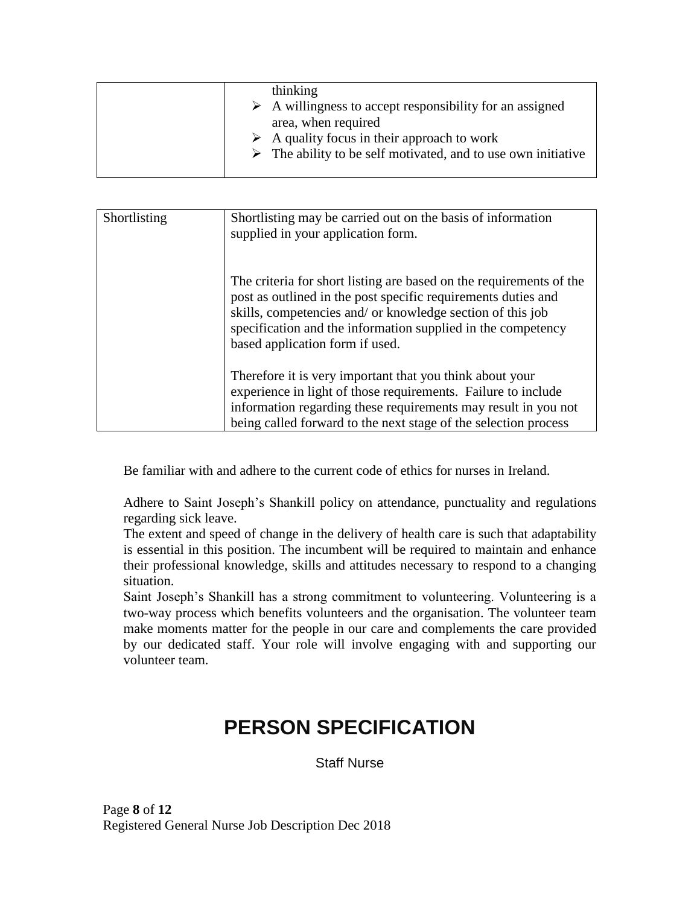| thinking<br>$\triangleright$ A willingness to accept responsibility for an assigned<br>area, when required                                 |
|--------------------------------------------------------------------------------------------------------------------------------------------|
| $\triangleright$ A quality focus in their approach to work<br>$\triangleright$ The ability to be self motivated, and to use own initiative |

| Shortlisting | Shortlisting may be carried out on the basis of information<br>supplied in your application form.                                                                                                                                                                                                     |
|--------------|-------------------------------------------------------------------------------------------------------------------------------------------------------------------------------------------------------------------------------------------------------------------------------------------------------|
|              | The criteria for short listing are based on the requirements of the<br>post as outlined in the post specific requirements duties and<br>skills, competencies and/ or knowledge section of this job<br>specification and the information supplied in the competency<br>based application form if used. |
|              | Therefore it is very important that you think about your<br>experience in light of those requirements. Failure to include<br>information regarding these requirements may result in you not<br>being called forward to the next stage of the selection process                                        |

Be familiar with and adhere to the current code of ethics for nurses in Ireland.

Adhere to Saint Joseph's Shankill policy on attendance, punctuality and regulations regarding sick leave.

The extent and speed of change in the delivery of health care is such that adaptability is essential in this position. The incumbent will be required to maintain and enhance their professional knowledge, skills and attitudes necessary to respond to a changing situation.

Saint Joseph's Shankill has a strong commitment to volunteering. Volunteering is a two-way process which benefits volunteers and the organisation. The volunteer team make moments matter for the people in our care and complements the care provided by our dedicated staff. Your role will involve engaging with and supporting our volunteer team.

## **PERSON SPECIFICATION**

Staff Nurse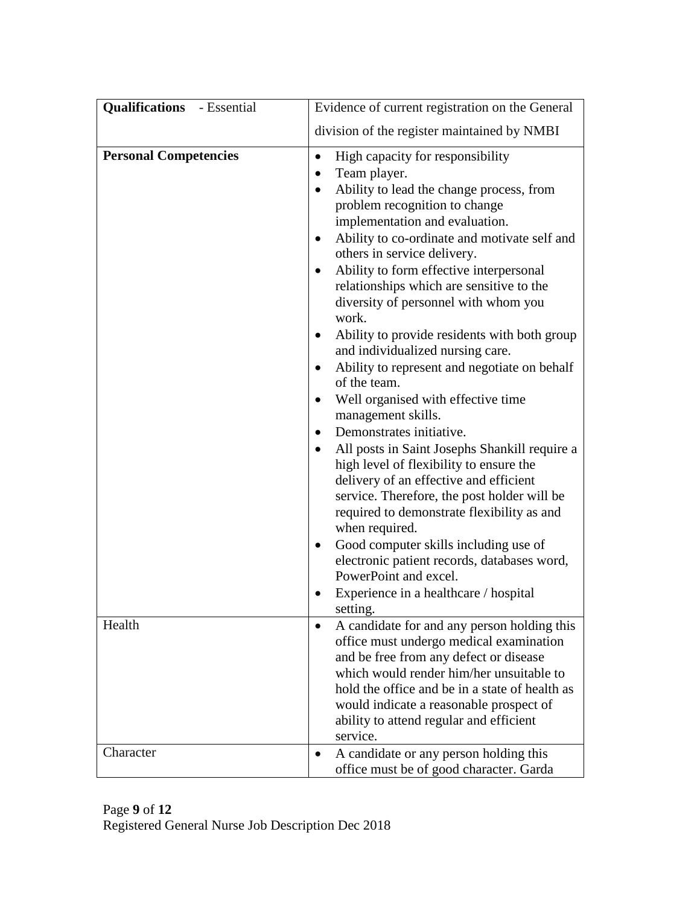| <b>Qualifications</b> - Essential | Evidence of current registration on the General                                                                                                                                                                                                                                                                                                                                                                                                                                                                                                                                                                                                                                                                                                                                                                                                                                                                                                                                                                                                                                                                                                            |  |
|-----------------------------------|------------------------------------------------------------------------------------------------------------------------------------------------------------------------------------------------------------------------------------------------------------------------------------------------------------------------------------------------------------------------------------------------------------------------------------------------------------------------------------------------------------------------------------------------------------------------------------------------------------------------------------------------------------------------------------------------------------------------------------------------------------------------------------------------------------------------------------------------------------------------------------------------------------------------------------------------------------------------------------------------------------------------------------------------------------------------------------------------------------------------------------------------------------|--|
|                                   | division of the register maintained by NMBI                                                                                                                                                                                                                                                                                                                                                                                                                                                                                                                                                                                                                                                                                                                                                                                                                                                                                                                                                                                                                                                                                                                |  |
| <b>Personal Competencies</b>      | High capacity for responsibility<br>$\bullet$<br>Team player.<br>Ability to lead the change process, from<br>$\bullet$<br>problem recognition to change<br>implementation and evaluation.<br>Ability to co-ordinate and motivate self and<br>$\bullet$<br>others in service delivery.<br>Ability to form effective interpersonal<br>٠<br>relationships which are sensitive to the<br>diversity of personnel with whom you<br>work.<br>Ability to provide residents with both group<br>٠<br>and individualized nursing care.<br>Ability to represent and negotiate on behalf<br>$\bullet$<br>of the team.<br>Well organised with effective time<br>٠<br>management skills.<br>Demonstrates initiative.<br>$\bullet$<br>All posts in Saint Josephs Shankill require a<br>$\bullet$<br>high level of flexibility to ensure the<br>delivery of an effective and efficient<br>service. Therefore, the post holder will be<br>required to demonstrate flexibility as and<br>when required.<br>Good computer skills including use of<br>electronic patient records, databases word,<br>PowerPoint and excel.<br>Experience in a healthcare / hospital<br>setting. |  |
| Health                            | A candidate for and any person holding this<br>office must undergo medical examination<br>and be free from any defect or disease<br>which would render him/her unsuitable to<br>hold the office and be in a state of health as<br>would indicate a reasonable prospect of<br>ability to attend regular and efficient<br>service.                                                                                                                                                                                                                                                                                                                                                                                                                                                                                                                                                                                                                                                                                                                                                                                                                           |  |
| Character                         | A candidate or any person holding this<br>$\bullet$<br>office must be of good character. Garda                                                                                                                                                                                                                                                                                                                                                                                                                                                                                                                                                                                                                                                                                                                                                                                                                                                                                                                                                                                                                                                             |  |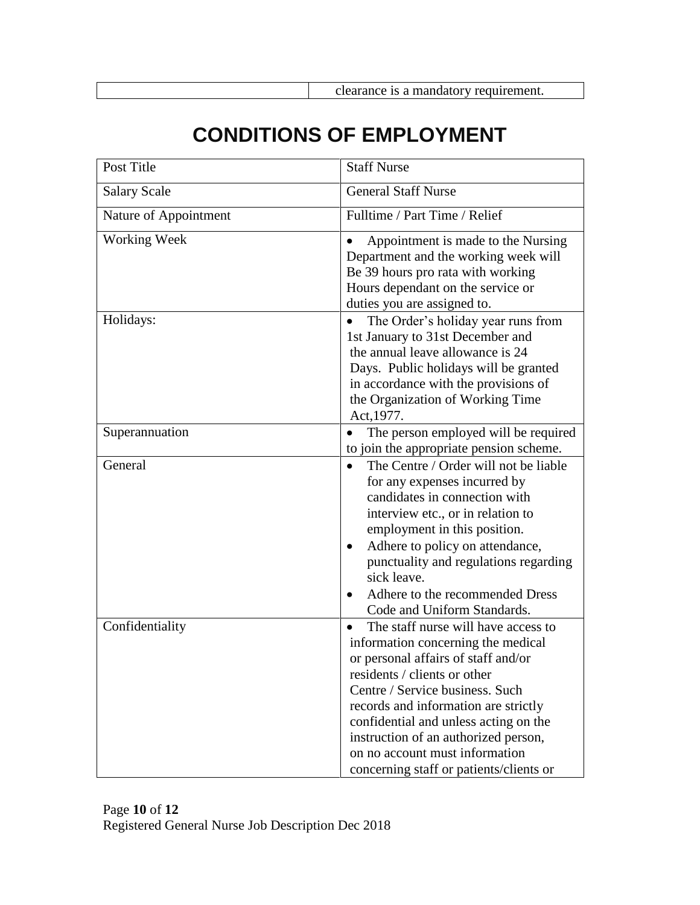## **CONDITIONS OF EMPLOYMENT**

| Post Title            | <b>Staff Nurse</b>                                                                                                                                                                                                                                                                                                                                                                             |
|-----------------------|------------------------------------------------------------------------------------------------------------------------------------------------------------------------------------------------------------------------------------------------------------------------------------------------------------------------------------------------------------------------------------------------|
| <b>Salary Scale</b>   | General Staff Nurse                                                                                                                                                                                                                                                                                                                                                                            |
| Nature of Appointment | Fulltime / Part Time / Relief                                                                                                                                                                                                                                                                                                                                                                  |
| Working Week          | Appointment is made to the Nursing<br>Department and the working week will<br>Be 39 hours pro rata with working<br>Hours dependant on the service or<br>duties you are assigned to.                                                                                                                                                                                                            |
| Holidays:             | The Order's holiday year runs from<br>$\bullet$<br>1st January to 31st December and<br>the annual leave allowance is 24<br>Days. Public holidays will be granted<br>in accordance with the provisions of<br>the Organization of Working Time<br>Act, 1977.                                                                                                                                     |
| Superannuation        | The person employed will be required<br>to join the appropriate pension scheme.                                                                                                                                                                                                                                                                                                                |
| General               | The Centre / Order will not be liable<br>$\bullet$<br>for any expenses incurred by<br>candidates in connection with<br>interview etc., or in relation to<br>employment in this position.<br>Adhere to policy on attendance,<br>$\bullet$<br>punctuality and regulations regarding<br>sick leave.<br>Adhere to the recommended Dress<br>$\bullet$<br>Code and Uniform Standards.                |
| Confidentiality       | The staff nurse will have access to<br>٠<br>information concerning the medical<br>or personal affairs of staff and/or<br>residents / clients or other<br>Centre / Service business. Such<br>records and information are strictly<br>confidential and unless acting on the<br>instruction of an authorized person,<br>on no account must information<br>concerning staff or patients/clients or |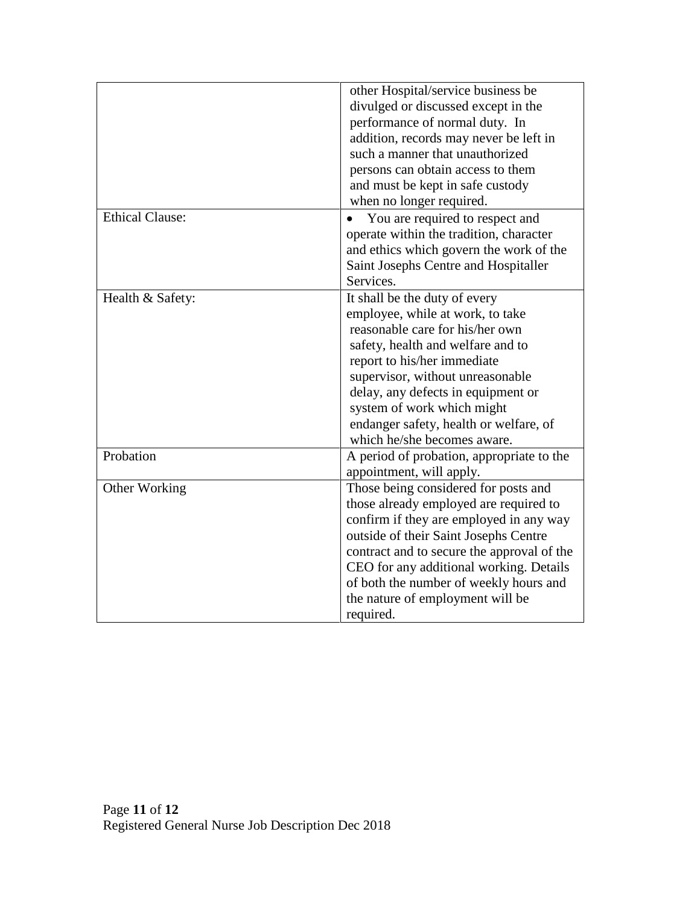|                        | other Hospital/service business be<br>divulged or discussed except in the<br>performance of normal duty. In<br>addition, records may never be left in<br>such a manner that unauthorized<br>persons can obtain access to them<br>and must be kept in safe custody                                                                                         |
|------------------------|-----------------------------------------------------------------------------------------------------------------------------------------------------------------------------------------------------------------------------------------------------------------------------------------------------------------------------------------------------------|
|                        | when no longer required.                                                                                                                                                                                                                                                                                                                                  |
| <b>Ethical Clause:</b> | You are required to respect and<br>operate within the tradition, character<br>and ethics which govern the work of the<br>Saint Josephs Centre and Hospitaller<br>Services.                                                                                                                                                                                |
| Health & Safety:       | It shall be the duty of every<br>employee, while at work, to take<br>reasonable care for his/her own<br>safety, health and welfare and to<br>report to his/her immediate<br>supervisor, without unreasonable<br>delay, any defects in equipment or<br>system of work which might<br>endanger safety, health or welfare, of<br>which he/she becomes aware. |
| Probation              | A period of probation, appropriate to the<br>appointment, will apply.                                                                                                                                                                                                                                                                                     |
| Other Working          | Those being considered for posts and<br>those already employed are required to<br>confirm if they are employed in any way<br>outside of their Saint Josephs Centre<br>contract and to secure the approval of the<br>CEO for any additional working. Details<br>of both the number of weekly hours and<br>the nature of employment will be<br>required.    |